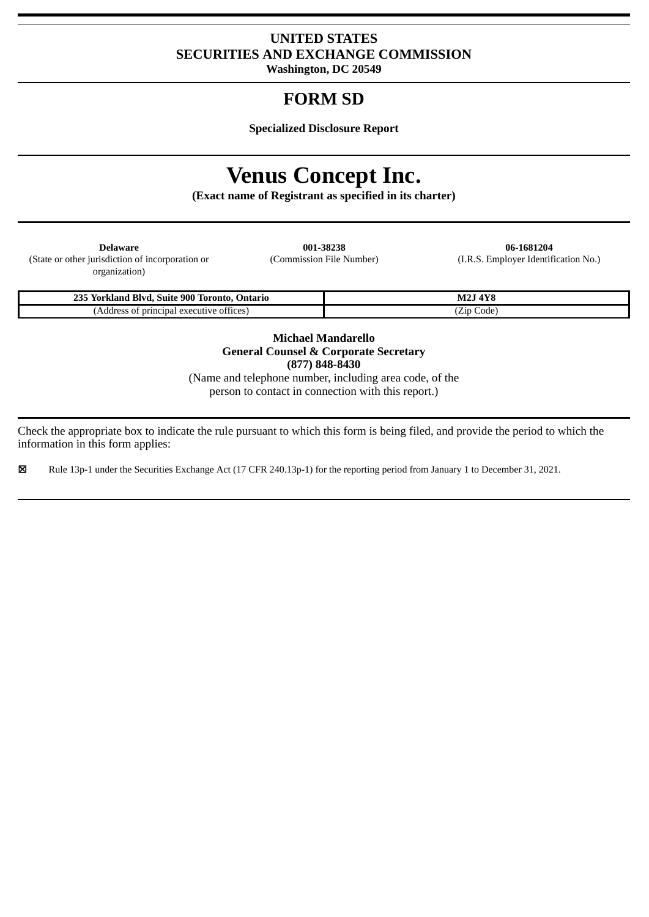## **UNITED STATES SECURITIES AND EXCHANGE COMMISSION**

**Washington, DC 20549**

# **FORM SD**

**Specialized Disclosure Report**

# **Venus Concept Inc.**

**(Exact name of Registrant as specified in its charter)**

| <b>Delaware</b>                                  | 001-38238                | 06-1681204               |
|--------------------------------------------------|--------------------------|--------------------------|
| (State or other jurisdiction of incorporation or | (Commission File Number) | (I.R.S. Employer Identif |
| organization)                                    |                          |                          |

(Commission File Number) (I.R.S. Employer Identification No.)

| 235<br>$_{c}$ 900 T<br>Blvd<br>Toronto.<br>-Suite<br>Ontario<br>/ork<br>'klanc | 1770<br>$\overline{a}$<br>$M_{\rm A}$<br> |
|--------------------------------------------------------------------------------|-------------------------------------------|
| <sup>-</sup> principal<br>l executive offices)<br>, Address                    | Code<br>Zip                               |

**Michael Mandarello General Counsel & Corporate Secretary (877) 848-8430**

(Name and telephone number, including area code, of the person to contact in connection with this report.)

Check the appropriate box to indicate the rule pursuant to which this form is being filed, and provide the period to which the information in this form applies:

☒ Rule 13p-1 under the Securities Exchange Act (17 CFR 240.13p-1) for the reporting period from January 1 to December 31, 2021.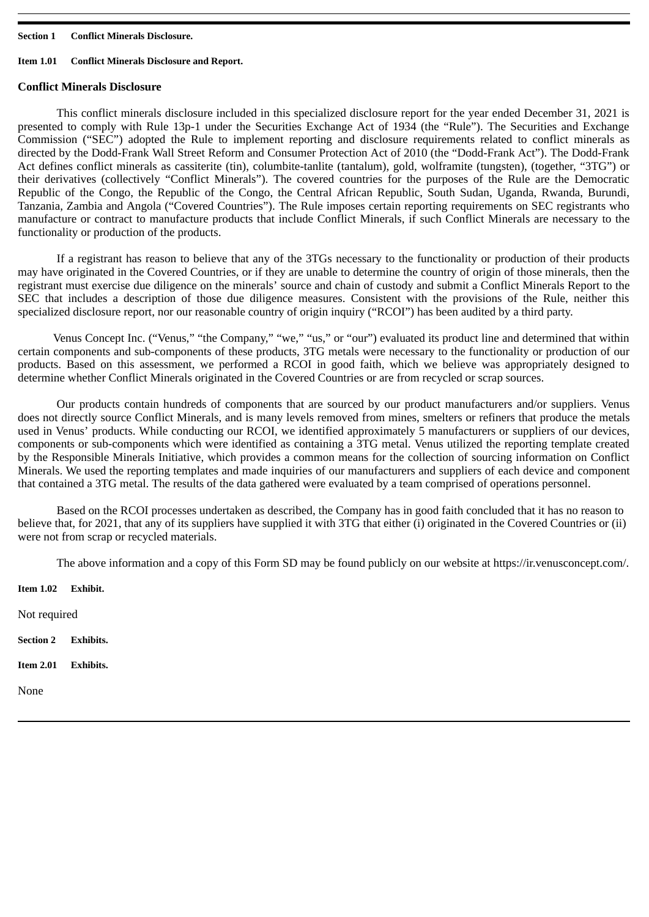#### **Section 1 Conflict Minerals Disclosure.**

#### **Item 1.01 Conflict Minerals Disclosure and Report.**

#### **Conflict Minerals Disclosure**

This conflict minerals disclosure included in this specialized disclosure report for the year ended December 31, 2021 is presented to comply with Rule 13p-1 under the Securities Exchange Act of 1934 (the "Rule"). The Securities and Exchange Commission ("SEC") adopted the Rule to implement reporting and disclosure requirements related to conflict minerals as directed by the Dodd-Frank Wall Street Reform and Consumer Protection Act of 2010 (the "Dodd-Frank Act"). The Dodd-Frank Act defines conflict minerals as cassiterite (tin), columbite-tanlite (tantalum), gold, wolframite (tungsten), (together, "3TG") or their derivatives (collectively "Conflict Minerals"). The covered countries for the purposes of the Rule are the Democratic Republic of the Congo, the Republic of the Congo, the Central African Republic, South Sudan, Uganda, Rwanda, Burundi, Tanzania, Zambia and Angola ("Covered Countries"). The Rule imposes certain reporting requirements on SEC registrants who manufacture or contract to manufacture products that include Conflict Minerals, if such Conflict Minerals are necessary to the functionality or production of the products.

If a registrant has reason to believe that any of the 3TGs necessary to the functionality or production of their products may have originated in the Covered Countries, or if they are unable to determine the country of origin of those minerals, then the registrant must exercise due diligence on the minerals' source and chain of custody and submit a Conflict Minerals Report to the SEC that includes a description of those due diligence measures. Consistent with the provisions of the Rule, neither this specialized disclosure report, nor our reasonable country of origin inquiry ("RCOI") has been audited by a third party.

Venus Concept Inc. ("Venus," "the Company," "we," "us," or "our") evaluated its product line and determined that within certain components and sub-components of these products, 3TG metals were necessary to the functionality or production of our products. Based on this assessment, we performed a RCOI in good faith, which we believe was appropriately designed to determine whether Conflict Minerals originated in the Covered Countries or are from recycled or scrap sources.

Our products contain hundreds of components that are sourced by our product manufacturers and/or suppliers. Venus does not directly source Conflict Minerals, and is many levels removed from mines, smelters or refiners that produce the metals used in Venus' products. While conducting our RCOI, we identified approximately 5 manufacturers or suppliers of our devices, components or sub-components which were identified as containing a 3TG metal. Venus utilized the reporting template created by the Responsible Minerals Initiative, which provides a common means for the collection of sourcing information on Conflict Minerals. We used the reporting templates and made inquiries of our manufacturers and suppliers of each device and component that contained a 3TG metal. The results of the data gathered were evaluated by a team comprised of operations personnel.

Based on the RCOI processes undertaken as described, the Company has in good faith concluded that it has no reason to believe that, for 2021, that any of its suppliers have supplied it with 3TG that either (i) originated in the Covered Countries or (ii) were not from scrap or recycled materials.

The above information and a copy of this Form SD may be found publicly on our website at https://ir.venusconcept.com/.

**Item 1.02 Exhibit.** Not required **Section 2 Exhibits. Item 2.01 Exhibits.** None